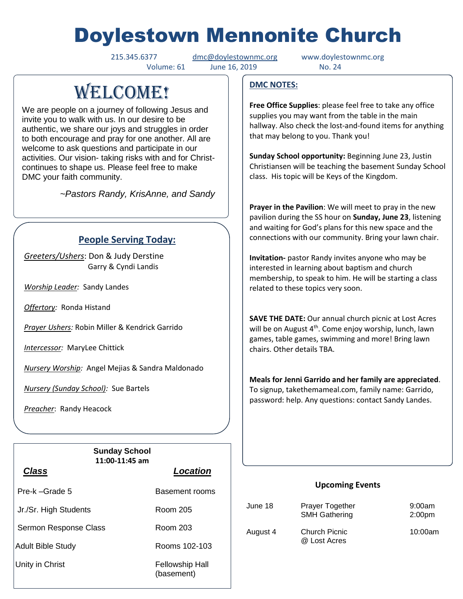# Doylestown Mennonite Church

215.345.6377 [dmc@doylestownmc.org](mailto:dmc@doylestownmc.org) www.doylestownmc.org Volume: 61 June 16, 2019 No. 24

# **WELCOME!**

We are people on a journey of following Jesus and invite you to walk with us. In our desire to be authentic, we share our joys and struggles in order to both encourage and pray for one another. All are welcome to ask questions and participate in our activities. Our vision- taking risks with and for Christcontinues to shape us. Please feel free to make DMC your faith community.

 *~Pastors Randy, KrisAnne, and Sandy*

## **People Serving Today:**

*Greeters/Ushers*: Don & Judy Derstine Garry & Cyndi Landis

*Worship Leader:* Sandy Landes

*Offertory:* Ronda Histand

*Prayer Ushers:* Robin Miller & Kendrick Garrido

*Intercessor:* MaryLee Chittick

*Nursery Worship:* Angel Mejias & Sandra Maldonado

*Nursery (Sunday School):* Sue Bartels

*Preacher*: Randy Heacock

 $\overline{\phantom{a}}$ 

|                       | <b>Sunday School</b><br>11:00-11:45 am |                                      |
|-----------------------|----------------------------------------|--------------------------------------|
| <b>Class</b>          |                                        | <b>Location</b>                      |
| Pre-k –Grade 5        |                                        | Basement rooms                       |
| Jr./Sr. High Students |                                        | Room 205                             |
| Sermon Response Class |                                        | Room 203                             |
| Adult Bible Study     |                                        | Rooms 102-103                        |
| ∣Unity in Christ      |                                        | <b>Fellowship Hall</b><br>(basement) |

#### **DMC NOTES:**

**Free Office Supplies**: please feel free to take any office supplies you may want from the table in the main hallway. Also check the lost-and-found items for anything that may belong to you. Thank you!

**Sunday School opportunity:** Beginning June 23, Justin Christiansen will be teaching the basement Sunday School class. His topic will be Keys of the Kingdom.

**Prayer in the Pavilion**: We will meet to pray in the new pavilion during the SS hour on **Sunday, June 23**, listening and waiting for God's plans for this new space and the connections with our community. Bring your lawn chair.

**Invitation-** pastor Randy invites anyone who may be interested in learning about baptism and church membership, to speak to him. He will be starting a class related to these topics very soon.

**SAVE THE DATE:** Our annual church picnic at Lost Acres will be on August 4<sup>th</sup>. Come enjoy worship, lunch, lawn games, table games, swimming and more! Bring lawn chairs. Other details TBA.

**Meals for Jenni Garrido and her family are appreciated**. To signup, takethemameal.com, family name: Garrido, password: help. Any questions: contact Sandy Landes.

#### **Upcoming Events**

| June 18  | Prayer Together<br><b>SMH Gathering</b> | 9:00am<br>2:00 <sub>pm</sub> |
|----------|-----------------------------------------|------------------------------|
| August 4 | Church Picnic<br>@ Lost Acres           | 10:00am                      |